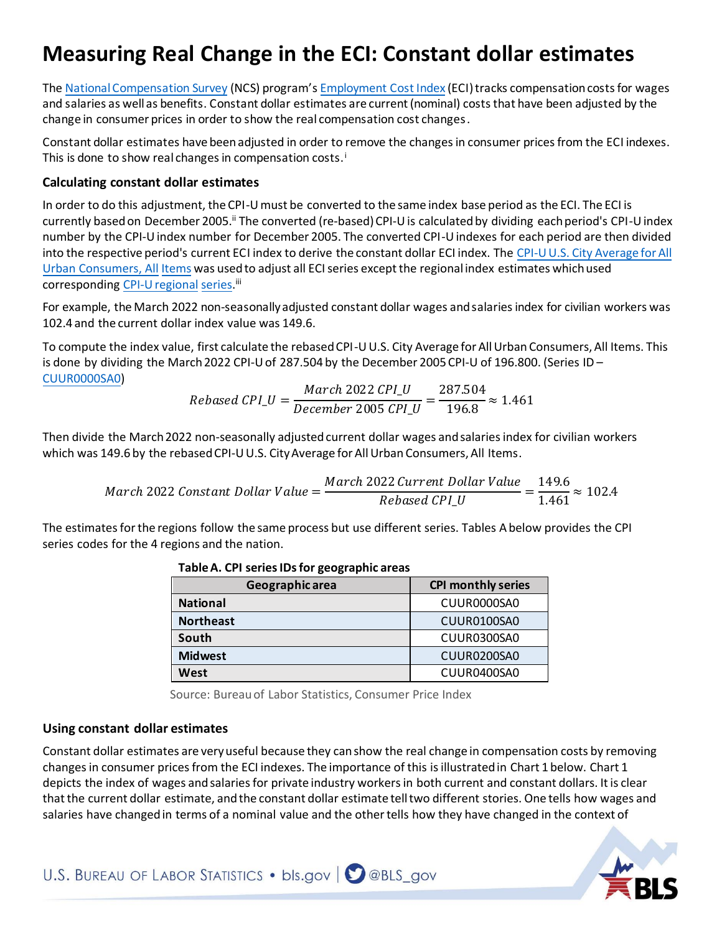# **Measuring Real Change in the ECI: Constant dollar estimates**

The [National Compensation Survey](https://www.bls.gov/ncs/ncspubs.htm) (NCS) program's [Employment Cost Index](https://www.bls.gov/news.release/eci.nr0.htm) (ECI) tracks compensation costs for wages and salaries as well as benefits. Constant dollar estimates are current (nominal) costs that have been adjusted by the change in consumer prices in order to show the real compensation cost changes.

Constant dollar estimates have been adjusted in order to remove the changes in consumer prices from the ECI indexes. This is done to show real changes in compensation costs. i

## **Calculating constant dollar estimates**

In order to do this adjustment, the CPI-U must be converted to the same index base period as the ECI. The ECI is currently based on December 2005.<sup>ii</sup> The converted (re-based) CPI-U is calculated by dividing each period's CPI-U index number by the CPI-U index number for December 2005. The converted CPI-U indexes for each period are then divided into the respective period's current ECI index to derive the constant dollar ECI index. Th[e CPI-U U.S. City Average](https://www.bls.gov/news.release/cpi.t01.htm) for All [Urban Consumers, All](https://www.bls.gov/news.release/cpi.t01.htm) Items was used to adjust all ECI series except the regional index estimates which used corresponding [CPI-U regional](https://www.bls.gov/cpi/regional-resources.htm) series.<sup>iii</sup>

For example, the March 2022 non-seasonally adjusted constant dollar wages and salaries index for civilian workers was 102.4 and the current dollar index value was 149.6.

To compute the index value, first calculate the rebased CPI-U U.S. City Average for All Urban Consumers, All Items. This is done by dividing the March 2022 CPI-U of 287.504 by the December 2005 CPI-[U of 196.800. \(Se](https://beta.bls.gov/dataViewer/view/timeseries/CUUR0000SA0)ries ID – [CUUR0000SA0](https://beta.bls.gov/dataViewer/view/timeseries/CUUR0000SA0))

$$
Rebased \, CPU\_U = \frac{March \, 2022 \, CPU\_U}{December \, 2005 \, CPU\_U} = \frac{287.504}{196.8} \approx 1.461
$$

Then divide the March 2022 non-seasonally adjusted current dollar wages and salaries index for civilian workers which was 149.6 by the rebased CPI-U U.S. City Average for All Urban Consumers, All Items.

$$
March~2022~Constant~Dollar~Value = \frac{March~2022~Current~Dollar~Value}{Rebased~CPI\_U} = \frac{149.6}{1.461} \approx 102.4
$$

The estimates for the regions follow the same process but use different series. Tables Abelow provides the CPI series codes for the 4 regions and the nation.

| Geographic area  | <b>CPI monthly series</b> |
|------------------|---------------------------|
| <b>National</b>  | CUUR0000SA0               |
| <b>Northeast</b> | CUUR0100SA0               |
| South            | CUUR0300SA0               |
| <b>Midwest</b>   | CUUR0200SA0               |
| West             | CUUR0400SA0               |

### **Table A. CPI series IDs for geographic areas**

Source: Bureau of Labor Statistics, Consumer Price Index

### **Using constant dollar estimates**

Constant dollar estimates are very useful because they can show the real change in compensation costs by removing changes in consumer prices from the ECI indexes. The importance of this is illustrated in Chart 1 below. Chart 1 depicts the index of wages and salaries for private industry workers in both current and constant dollars. It is clear that the current dollar estimate, and the constant dollar estimate tell two different stories. One tells how wages and salaries have changed in terms of a nominal value and the other tells how they have changed in the context of

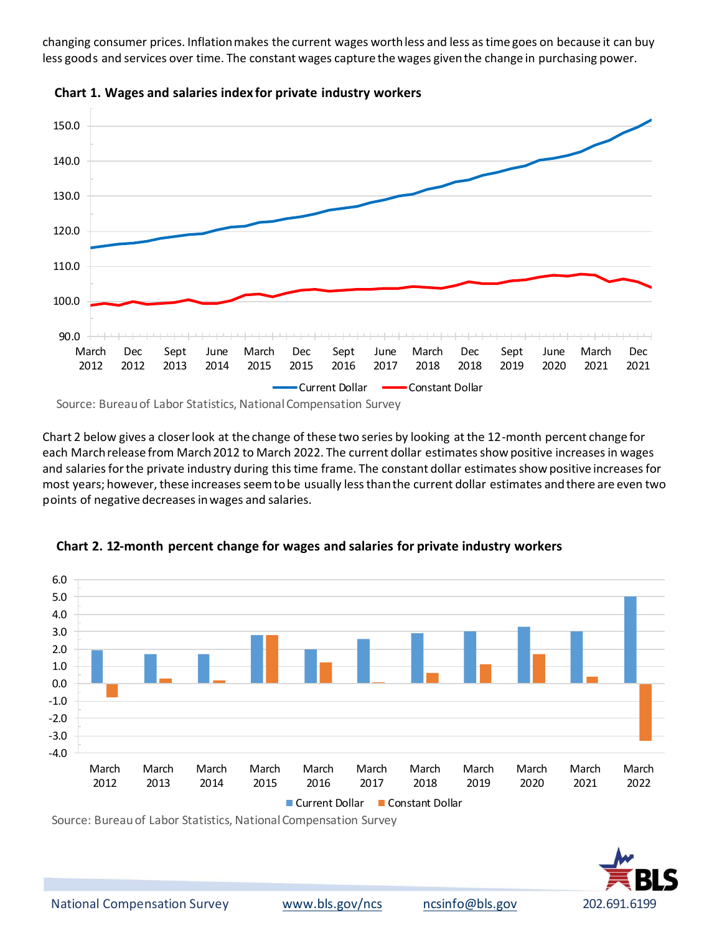changing consumer prices. Inflation makes the current wages worth less and less as time goes on because it can buy less goods and services over time. The constant wages capture the wages given the change in purchasing power.





Chart 2 below gives a closer look at the change of these two series by looking at the 12-month percent change for each March release from March 2012 to March 2022. The current dollar estimates show positive increases in wages and salaries for the private industry during this time frame. The constant dollar estimates show positive increases for most years; however, these increases seem to be usually less than the current dollar estimates and there are even two points of negative decreases in wages and salaries.



**Chart 2. 12-month percent change for wages and salaries for private industry workers**

Source: Bureau of Labor Statistics, National Compensation Survey